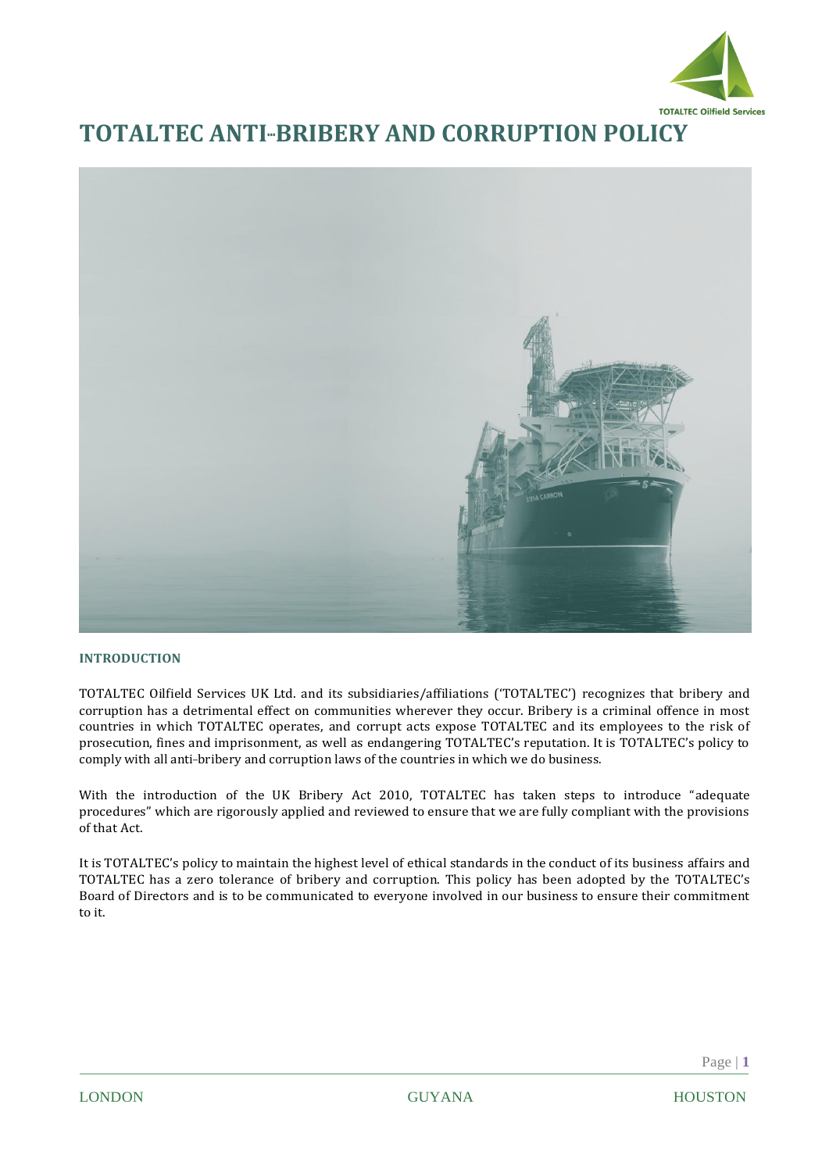

# **TOTALTEC ANTI-BRIBERY AND CORRUPTION POLICY**



## **INTRODUCTION**

TOTALTEC Oilfield Services UK Ltd. and its subsidiaries/affiliations ('TOTALTEC') recognizes that bribery and corruption has a detrimental effect on communities wherever they occur. Bribery is a criminal offence in most countries in which TOTALTEC operates, and corrupt acts expose TOTALTEC and its employees to the risk of prosecution, fines and imprisonment, as well as endangering TOTALTEC's reputation. It is TOTALTEC's policy to comply with all anti-bribery and corruption laws of the countries in which we do business.

With the introduction of the UK Bribery Act 2010, TOTALTEC has taken steps to introduce "adequate procedures" which are rigorously applied and reviewed to ensure that we are fully compliant with the provisions of that Act.

It is TOTALTEC's policy to maintain the highest level of ethical standards in the conduct of its business affairs and TOTALTEC has a zero tolerance of bribery and corruption. This policy has been adopted by the TOTALTEC's Board of Directors and is to be communicated to everyone involved in our business to ensure their commitment to it.